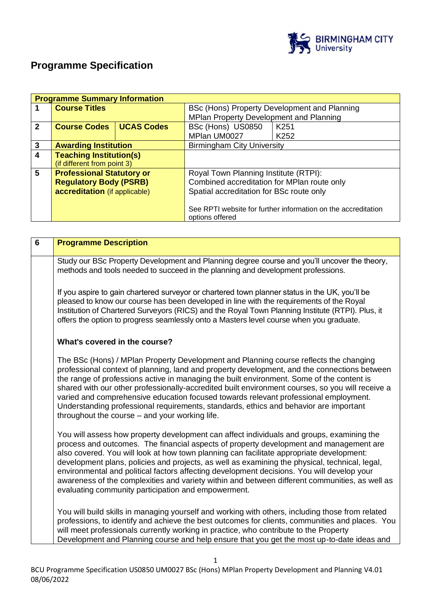

# **Programme Specification**

|              | <b>Programme Summary Information</b> |                   |                                                               |                  |  |
|--------------|--------------------------------------|-------------------|---------------------------------------------------------------|------------------|--|
|              | <b>Course Titles</b>                 |                   | BSc (Hons) Property Development and Planning                  |                  |  |
|              |                                      |                   | MPlan Property Development and Planning                       |                  |  |
| $\mathbf{2}$ | <b>Course Codes</b>                  | <b>UCAS Codes</b> | BSc (Hons) US0850                                             | K <sub>251</sub> |  |
|              |                                      |                   | MPlan UM0027                                                  | K <sub>252</sub> |  |
| $\mathbf{3}$ | <b>Awarding Institution</b>          |                   | <b>Birmingham City University</b>                             |                  |  |
| 4            | <b>Teaching Institution(s)</b>       |                   |                                                               |                  |  |
|              | (if different from point 3)          |                   |                                                               |                  |  |
| 5            | <b>Professional Statutory or</b>     |                   | Royal Town Planning Institute (RTPI):                         |                  |  |
|              | <b>Regulatory Body (PSRB)</b>        |                   | Combined accreditation for MPlan route only                   |                  |  |
|              | accreditation (if applicable)        |                   | Spatial accreditation for BSc route only                      |                  |  |
|              |                                      |                   |                                                               |                  |  |
|              |                                      |                   | See RPTI website for further information on the accreditation |                  |  |
|              |                                      |                   | options offered                                               |                  |  |

| $6\phantom{1}6$                                                                                                                                                                                                                                                                                                                                                                                                                                                                                                                                                                                                                          | <b>Programme Description</b>                                                                                                                                                                                                                                                                                                                                                                                                                                                                                                                                                                                                |
|------------------------------------------------------------------------------------------------------------------------------------------------------------------------------------------------------------------------------------------------------------------------------------------------------------------------------------------------------------------------------------------------------------------------------------------------------------------------------------------------------------------------------------------------------------------------------------------------------------------------------------------|-----------------------------------------------------------------------------------------------------------------------------------------------------------------------------------------------------------------------------------------------------------------------------------------------------------------------------------------------------------------------------------------------------------------------------------------------------------------------------------------------------------------------------------------------------------------------------------------------------------------------------|
|                                                                                                                                                                                                                                                                                                                                                                                                                                                                                                                                                                                                                                          | Study our BSc Property Development and Planning degree course and you'll uncover the theory,<br>methods and tools needed to succeed in the planning and development professions.                                                                                                                                                                                                                                                                                                                                                                                                                                            |
|                                                                                                                                                                                                                                                                                                                                                                                                                                                                                                                                                                                                                                          | If you aspire to gain chartered surveyor or chartered town planner status in the UK, you'll be<br>pleased to know our course has been developed in line with the requirements of the Royal<br>Institution of Chartered Surveyors (RICS) and the Royal Town Planning Institute (RTPI). Plus, it<br>offers the option to progress seamlessly onto a Masters level course when you graduate.                                                                                                                                                                                                                                   |
|                                                                                                                                                                                                                                                                                                                                                                                                                                                                                                                                                                                                                                          | What's covered in the course?                                                                                                                                                                                                                                                                                                                                                                                                                                                                                                                                                                                               |
|                                                                                                                                                                                                                                                                                                                                                                                                                                                                                                                                                                                                                                          | The BSc (Hons) / MPlan Property Development and Planning course reflects the changing<br>professional context of planning, land and property development, and the connections between<br>the range of professions active in managing the built environment. Some of the content is<br>shared with our other professionally-accredited built environment courses, so you will receive a<br>varied and comprehensive education focused towards relevant professional employment.<br>Understanding professional requirements, standards, ethics and behavior are important<br>throughout the course $-$ and your working life. |
| You will assess how property development can affect individuals and groups, examining the<br>process and outcomes. The financial aspects of property development and management are<br>also covered. You will look at how town planning can facilitate appropriate development:<br>development plans, policies and projects, as well as examining the physical, technical, legal,<br>environmental and political factors affecting development decisions. You will develop your<br>awareness of the complexities and variety within and between different communities, as well as<br>evaluating community participation and empowerment. |                                                                                                                                                                                                                                                                                                                                                                                                                                                                                                                                                                                                                             |
|                                                                                                                                                                                                                                                                                                                                                                                                                                                                                                                                                                                                                                          | You will build skills in managing yourself and working with others, including those from related<br>professions, to identify and achieve the best outcomes for clients, communities and places. You<br>will meet professionals currently working in practice, who contribute to the Property<br>Development and Planning course and help ensure that you get the most up-to-date ideas and                                                                                                                                                                                                                                  |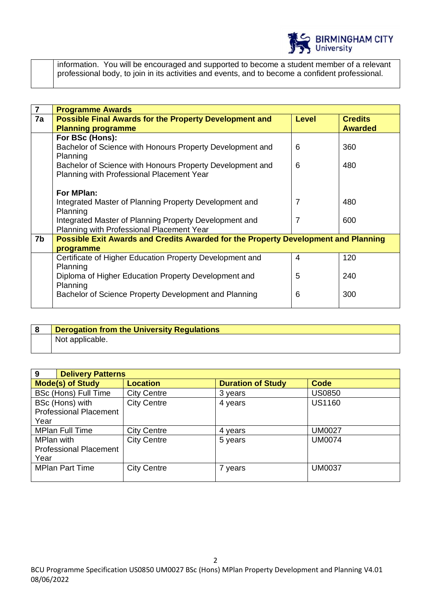

information. You will be encouraged and supported to become a student member of a relevant professional body, to join in its activities and events, and to become a confident professional.

| 7  | <b>Programme Awards</b>                                                                                |                |                                  |  |
|----|--------------------------------------------------------------------------------------------------------|----------------|----------------------------------|--|
| 7a | <b>Possible Final Awards for the Property Development and</b><br><b>Planning programme</b>             | <b>Level</b>   | <b>Credits</b><br><b>Awarded</b> |  |
|    | For BSc (Hons):                                                                                        |                |                                  |  |
|    | Bachelor of Science with Honours Property Development and<br>Planning                                  | 6              | 360                              |  |
|    | Bachelor of Science with Honours Property Development and<br>Planning with Professional Placement Year | 6              | 480                              |  |
|    | For MPlan:                                                                                             |                |                                  |  |
|    | Integrated Master of Planning Property Development and<br>Planning                                     | $\overline{7}$ | 480                              |  |
|    | Integrated Master of Planning Property Development and<br>Planning with Professional Placement Year    | 7              | 600                              |  |
| 7b | Possible Exit Awards and Credits Awarded for the Property Development and Planning                     |                |                                  |  |
|    | programme                                                                                              |                |                                  |  |
|    | Certificate of Higher Education Property Development and<br>Planning                                   | 4              | 120                              |  |
|    | Diploma of Higher Education Property Development and<br>Planning                                       | 5              | 240                              |  |
|    | Bachelor of Science Property Development and Planning                                                  | 6              | 300                              |  |

| Derogation from the University Regulations |  |
|--------------------------------------------|--|
| Not applicable.                            |  |

| 9<br><b>Delivery Patterns</b> |                    |                          |               |
|-------------------------------|--------------------|--------------------------|---------------|
| <b>Mode(s) of Study</b>       | <b>Location</b>    | <b>Duration of Study</b> | Code          |
| <b>BSc (Hons) Full Time</b>   | <b>City Centre</b> | 3 years                  | <b>US0850</b> |
| BSc (Hons) with               | <b>City Centre</b> | 4 years                  | <b>US1160</b> |
| <b>Professional Placement</b> |                    |                          |               |
| Year                          |                    |                          |               |
| <b>MPlan Full Time</b>        | <b>City Centre</b> | 4 years                  | <b>UM0027</b> |
| MPlan with                    | <b>City Centre</b> | 5 years                  | <b>UM0074</b> |
| <b>Professional Placement</b> |                    |                          |               |
| Year                          |                    |                          |               |
| <b>MPlan Part Time</b>        | <b>City Centre</b> | 7 years                  | <b>UM0037</b> |
|                               |                    |                          |               |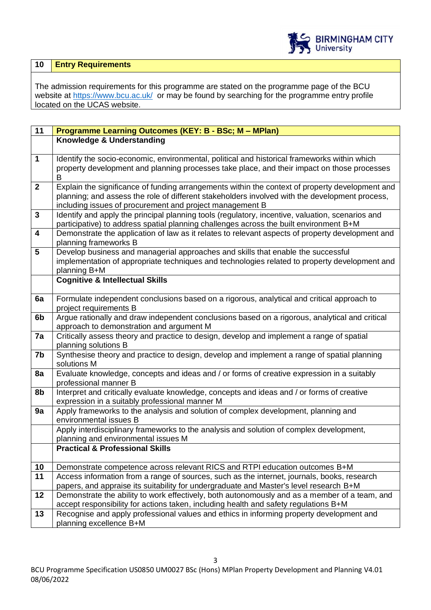

# **10 Entry Requirements**

The admission requirements for this programme are stated on the programme page of the BCU website at<https://www.bcu.ac.uk/>or may be found by searching for the programme entry profile located on the UCAS website.

| 11                      | Programme Learning Outcomes (KEY: B - BSc; M - MPlan)                                                                                                                                   |  |  |  |
|-------------------------|-----------------------------------------------------------------------------------------------------------------------------------------------------------------------------------------|--|--|--|
|                         | Knowledge & Understanding                                                                                                                                                               |  |  |  |
|                         |                                                                                                                                                                                         |  |  |  |
| $\mathbf{1}$            | Identify the socio-economic, environmental, political and historical frameworks within which                                                                                            |  |  |  |
|                         | property development and planning processes take place, and their impact on those processes<br>B                                                                                        |  |  |  |
| $\mathbf{2}$            | Explain the significance of funding arrangements within the context of property development and                                                                                         |  |  |  |
|                         | planning; and assess the role of different stakeholders involved with the development process,                                                                                          |  |  |  |
|                         | including issues of procurement and project management B                                                                                                                                |  |  |  |
| $\mathbf{3}$            | Identify and apply the principal planning tools (regulatory, incentive, valuation, scenarios and                                                                                        |  |  |  |
|                         | participative) to address spatial planning challenges across the built environment B+M                                                                                                  |  |  |  |
| $\overline{\mathbf{4}}$ | Demonstrate the application of law as it relates to relevant aspects of property development and                                                                                        |  |  |  |
|                         | planning frameworks B                                                                                                                                                                   |  |  |  |
| 5                       | Develop business and managerial approaches and skills that enable the successful                                                                                                        |  |  |  |
|                         | implementation of appropriate techniques and technologies related to property development and<br>planning B+M                                                                           |  |  |  |
|                         | <b>Cognitive &amp; Intellectual Skills</b>                                                                                                                                              |  |  |  |
|                         |                                                                                                                                                                                         |  |  |  |
| 6a                      | Formulate independent conclusions based on a rigorous, analytical and critical approach to                                                                                              |  |  |  |
|                         | project requirements B                                                                                                                                                                  |  |  |  |
| 6b                      | Argue rationally and draw independent conclusions based on a rigorous, analytical and critical                                                                                          |  |  |  |
|                         | approach to demonstration and argument M                                                                                                                                                |  |  |  |
| 7a                      | Critically assess theory and practice to design, develop and implement a range of spatial<br>planning solutions B                                                                       |  |  |  |
| 7b                      | Synthesise theory and practice to design, develop and implement a range of spatial planning                                                                                             |  |  |  |
|                         | solutions M                                                                                                                                                                             |  |  |  |
| 8a                      | Evaluate knowledge, concepts and ideas and / or forms of creative expression in a suitably                                                                                              |  |  |  |
|                         | professional manner B                                                                                                                                                                   |  |  |  |
| 8b                      | Interpret and critically evaluate knowledge, concepts and ideas and / or forms of creative                                                                                              |  |  |  |
|                         | expression in a suitably professional manner M                                                                                                                                          |  |  |  |
| 9a                      | Apply frameworks to the analysis and solution of complex development, planning and<br>environmental issues B                                                                            |  |  |  |
|                         | Apply interdisciplinary frameworks to the analysis and solution of complex development,                                                                                                 |  |  |  |
|                         | planning and environmental issues M                                                                                                                                                     |  |  |  |
|                         | <b>Practical &amp; Professional Skills</b>                                                                                                                                              |  |  |  |
|                         |                                                                                                                                                                                         |  |  |  |
| 10                      | Demonstrate competence across relevant RICS and RTPI education outcomes B+M                                                                                                             |  |  |  |
| 11                      | Access information from a range of sources, such as the internet, journals, books, research                                                                                             |  |  |  |
|                         | papers, and appraise its suitability for undergraduate and Master's level research B+M<br>Demonstrate the ability to work effectively, both autonomously and as a member of a team, and |  |  |  |
| 12                      | accept responsibility for actions taken, including health and safety regulations B+M                                                                                                    |  |  |  |
| 13                      | Recognise and apply professional values and ethics in informing property development and                                                                                                |  |  |  |
|                         | planning excellence B+M                                                                                                                                                                 |  |  |  |
|                         |                                                                                                                                                                                         |  |  |  |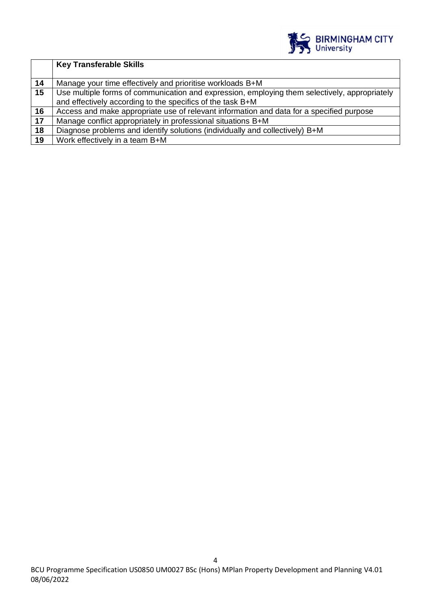

|    | <b>Key Transferable Skills</b>                                                                |
|----|-----------------------------------------------------------------------------------------------|
|    |                                                                                               |
| 14 | Manage your time effectively and prioritise workloads B+M                                     |
| 15 | Use multiple forms of communication and expression, employing them selectively, appropriately |
|    | and effectively according to the specifics of the task B+M                                    |
| 16 | Access and make appropriate use of relevant information and data for a specified purpose      |
| 17 | Manage conflict appropriately in professional situations B+M                                  |
| 18 | Diagnose problems and identify solutions (individually and collectively) B+M                  |
| 19 | Work effectively in a team B+M                                                                |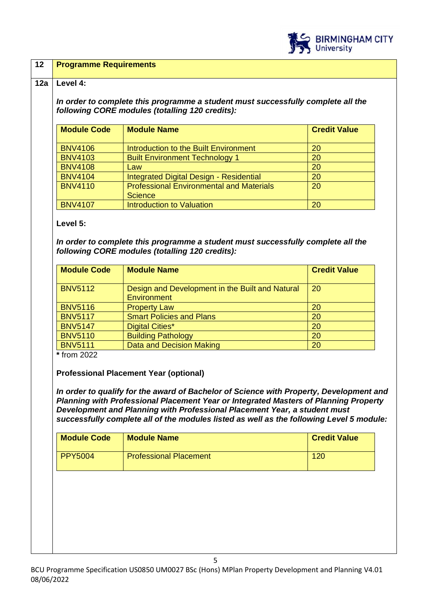

### **12 Programme Requirements**

#### **12a Level 4:**

*In order to complete this programme a student must successfully complete all the following CORE modules (totalling 120 credits):*

| <b>Module Code</b> | <b>Module Name</b>                              | <b>Credit Value</b> |
|--------------------|-------------------------------------------------|---------------------|
|                    |                                                 |                     |
| <b>BNV4106</b>     | Introduction to the Built Environment           | 20                  |
| <b>BNV4103</b>     | <b>Built Environment Technology 1</b>           | 20                  |
| <b>BNV4108</b>     | Law                                             | 20                  |
| <b>BNV4104</b>     | Integrated Digital Design - Residential         | 20                  |
| <b>BNV4110</b>     | <b>Professional Environmental and Materials</b> | 20                  |
|                    | <b>Science</b>                                  |                     |
| <b>BNV4107</b>     | <b>Introduction to Valuation</b>                | 20                  |

**Level 5:**

*In order to complete this programme a student must successfully complete all the following CORE modules (totalling 120 credits):*

| <b>Module Code</b> | <b>Module Name</b>                                                    | <b>Credit Value</b> |
|--------------------|-----------------------------------------------------------------------|---------------------|
| <b>BNV5112</b>     | Design and Development in the Built and Natural<br><b>Environment</b> | <b>20</b>           |
| <b>BNV5116</b>     | <b>Property Law</b>                                                   | 20                  |
| <b>BNV5117</b>     | <b>Smart Policies and Plans</b>                                       | 20                  |
| <b>BNV5147</b>     | <b>Digital Cities*</b>                                                | 20                  |
| <b>BNV5110</b>     | <b>Building Pathology</b>                                             | 20                  |
| <b>BNV5111</b>     | Data and Decision Making                                              | 20                  |

**\*** from 2022

**Professional Placement Year (optional)** 

*In order to qualify for the award of Bachelor of Science with Property, Development and Planning with Professional Placement Year or Integrated Masters of Planning Property Development and Planning with Professional Placement Year, a student must successfully complete all of the modules listed as well as the following Level 5 module:*

| <b>Module Code</b> | <b>Module Name</b>            | <b>Credit Value</b> |
|--------------------|-------------------------------|---------------------|
| <b>PPY5004</b>     | <b>Professional Placement</b> | 120                 |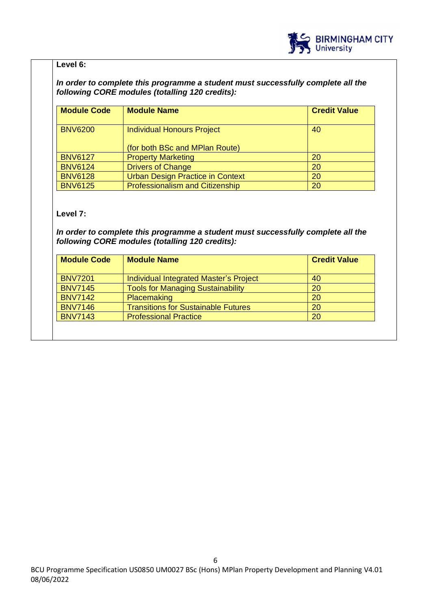

# **Level 6:**

### *In order to complete this programme a student must successfully complete all the following CORE modules (totalling 120 credits):*

| <b>Module Code</b> | <b>Module Name</b>                     | <b>Credit Value</b> |
|--------------------|----------------------------------------|---------------------|
| <b>BNV6200</b>     | <b>Individual Honours Project</b>      | 40                  |
|                    | (for both BSc and MPlan Route)         |                     |
| <b>BNV6127</b>     | <b>Property Marketing</b>              | 20                  |
| <b>BNV6124</b>     | <b>Drivers of Change</b>               | 20                  |
| <b>BNV6128</b>     | Urban Design Practice in Context       | 20                  |
| <b>BNV6125</b>     | <b>Professionalism and Citizenship</b> | 20                  |

# **Level 7:**

*In order to complete this programme a student must successfully complete all the following CORE modules (totalling 120 credits):*

| <b>Module Code</b> | <b>Module Name</b>                         | <b>Credit Value</b> |
|--------------------|--------------------------------------------|---------------------|
| <b>BNV7201</b>     | Individual Integrated Master's Project     | 40                  |
| <b>BNV7145</b>     | <b>Tools for Managing Sustainability</b>   | 20                  |
| <b>BNV7142</b>     | <b>Placemaking</b>                         | 20                  |
| <b>BNV7146</b>     | <b>Transitions for Sustainable Futures</b> | 20                  |
| <b>BNV7143</b>     | <b>Professional Practice</b>               | 20                  |
|                    |                                            |                     |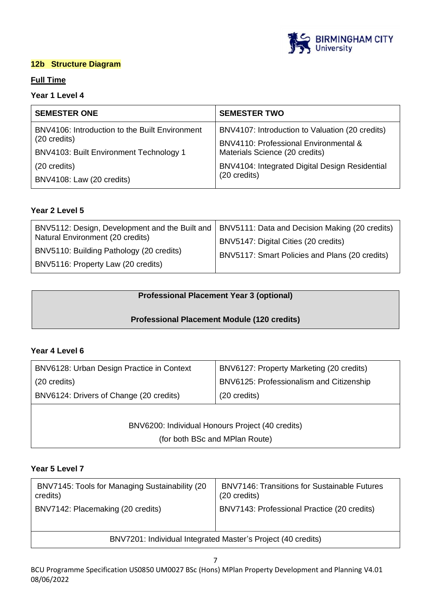

# **12b Structure Diagram**

# **Full Time**

# **Year 1 Level 4**

| <b>SEMESTER ONE</b>                            | <b>SEMESTER TWO</b>                             |
|------------------------------------------------|-------------------------------------------------|
| BNV4106: Introduction to the Built Environment | BNV4107: Introduction to Valuation (20 credits) |
| (20 credits)                                   | BNV4110: Professional Environmental &           |
| BNV4103: Built Environment Technology 1        | Materials Science (20 credits)                  |
| (20 credits)                                   | BNV4104: Integrated Digital Design Residential  |
| BNV4108: Law (20 credits)                      | (20 credits)                                    |

# **Year 2 Level 5**

| BNV5112: Design, Development and the Built and | BNV5111: Data and Decision Making (20 credits) |
|------------------------------------------------|------------------------------------------------|
| Natural Environment (20 credits)               | BNV5147: Digital Cities (20 credits)           |
| BNV5110: Building Pathology (20 credits)       | BNV5117: Smart Policies and Plans (20 credits) |
| BNV5116: Property Law (20 credits)             |                                                |

# **Professional Placement Year 3 (optional)**

# **Professional Placement Module (120 credits)**

#### **Year 4 Level 6**

| BNV6128: Urban Design Practice in Context | BNV6127: Property Marketing (20 credits) |
|-------------------------------------------|------------------------------------------|
| (20 credits)                              | BNV6125: Professionalism and Citizenship |
| BNV6124: Drivers of Change (20 credits)   | (20 credits)                             |
|                                           |                                          |

BNV6200: Individual Honours Project (40 credits) (for both BSc and MPlan Route)

### **Year 5 Level 7**

| BNV7145: Tools for Managing Sustainability (20               | <b>BNV7146: Transitions for Sustainable Futures</b> |
|--------------------------------------------------------------|-----------------------------------------------------|
| credits)                                                     | (20 credits)                                        |
| BNV7142: Placemaking (20 credits)                            | BNV7143: Professional Practice (20 credits)         |
| BNV7201: Individual Integrated Master's Project (40 credits) |                                                     |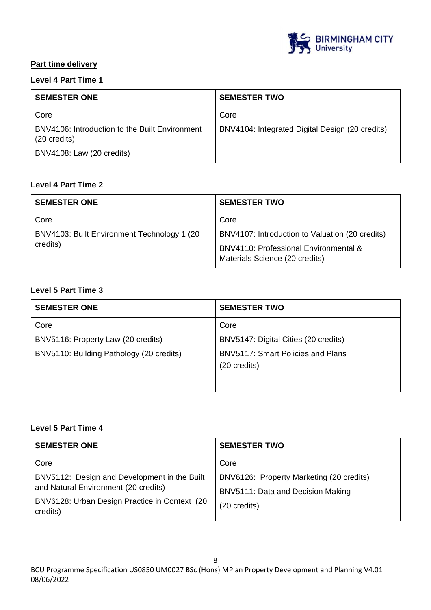

# **Part time delivery**

# **Level 4 Part Time 1**

| <b>SEMESTER ONE</b>                                            | <b>SEMESTER TWO</b>                             |
|----------------------------------------------------------------|-------------------------------------------------|
| Core                                                           | Core                                            |
| BNV4106: Introduction to the Built Environment<br>(20 credits) | BNV4104: Integrated Digital Design (20 credits) |
| BNV4108: Law (20 credits)                                      |                                                 |

# **Level 4 Part Time 2**

| <b>SEMESTER ONE</b>                          | <b>SEMESTER TWO</b>                                                     |
|----------------------------------------------|-------------------------------------------------------------------------|
| Core                                         | Core                                                                    |
| BNV4103: Built Environment Technology 1 (20) | BNV4107: Introduction to Valuation (20 credits)                         |
| credits)                                     | BNV4110: Professional Environmental &<br>Materials Science (20 credits) |

# **Level 5 Part Time 3**

| <b>SEMESTER ONE</b>                      | <b>SEMESTER TWO</b>                  |
|------------------------------------------|--------------------------------------|
| Core                                     | Core                                 |
| BNV5116: Property Law (20 credits)       | BNV5147: Digital Cities (20 credits) |
| BNV5110: Building Pathology (20 credits) | BNV5117: Smart Policies and Plans    |
|                                          | (20 credits)                         |
|                                          |                                      |

# **Level 5 Part Time 4**

| <b>SEMESTER ONE</b>                                                                                                                               | <b>SEMESTER TWO</b>                                                                           |
|---------------------------------------------------------------------------------------------------------------------------------------------------|-----------------------------------------------------------------------------------------------|
| Core                                                                                                                                              | Core                                                                                          |
| BNV5112: Design and Development in the Built<br>and Natural Environment (20 credits)<br>BNV6128: Urban Design Practice in Context (20<br>credits) | BNV6126: Property Marketing (20 credits)<br>BNV5111: Data and Decision Making<br>(20 credits) |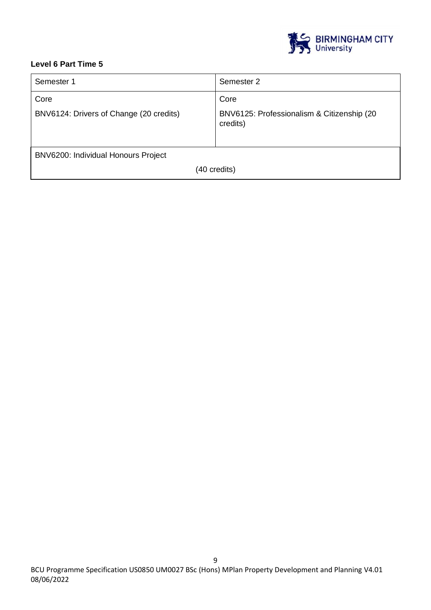

# **Level 6 Part Time 5**

| Semester 1                              | Semester 2                                             |
|-----------------------------------------|--------------------------------------------------------|
| Core                                    | Core                                                   |
| BNV6124: Drivers of Change (20 credits) | BNV6125: Professionalism & Citizenship (20<br>credits) |
| BNV6200: Individual Honours Project     |                                                        |
| (40 credits)                            |                                                        |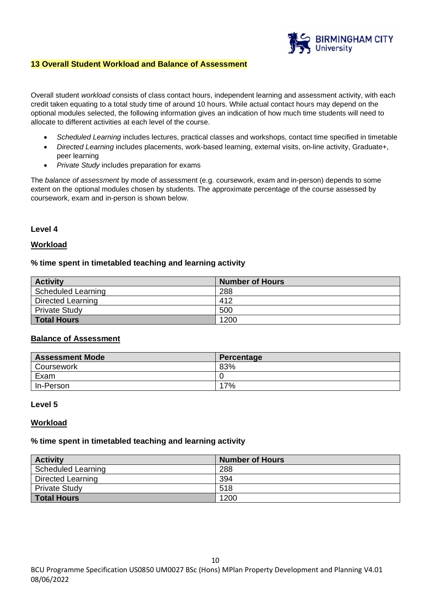

### **13 Overall Student Workload and Balance of Assessment**

Overall student *workload* consists of class contact hours, independent learning and assessment activity, with each credit taken equating to a total study time of around 10 hours. While actual contact hours may depend on the optional modules selected, the following information gives an indication of how much time students will need to allocate to different activities at each level of the course.

- *Scheduled Learning* includes lectures, practical classes and workshops, contact time specified in timetable
- *Directed Learning* includes placements, work-based learning, external visits, on-line activity, Graduate+, peer learning
- *Private Study* includes preparation for exams

The *balance of assessment* by mode of assessment (e.g. coursework, exam and in-person) depends to some extent on the optional modules chosen by students. The approximate percentage of the course assessed by coursework, exam and in-person is shown below.

#### **Level 4**

### **Workload**

#### **% time spent in timetabled teaching and learning activity**

| <b>Activity</b>      | <b>Number of Hours</b> |
|----------------------|------------------------|
| Scheduled Learning   | 288                    |
| Directed Learning    | 412                    |
| <b>Private Study</b> | 500                    |
| <b>Total Hours</b>   | 1200                   |

### **Balance of Assessment**

| <b>Assessment Mode</b> | Percentage |
|------------------------|------------|
| Coursework             | 83%        |
| Exam                   |            |
| In-Person              | 17%        |

#### **Level 5**

#### **Workload**

#### **% time spent in timetabled teaching and learning activity**

| <b>Activity</b>      | <b>Number of Hours</b> |
|----------------------|------------------------|
| Scheduled Learning   | 288                    |
| Directed Learning    | 394                    |
| <b>Private Study</b> | 518                    |
| Total Hours          | 1200                   |